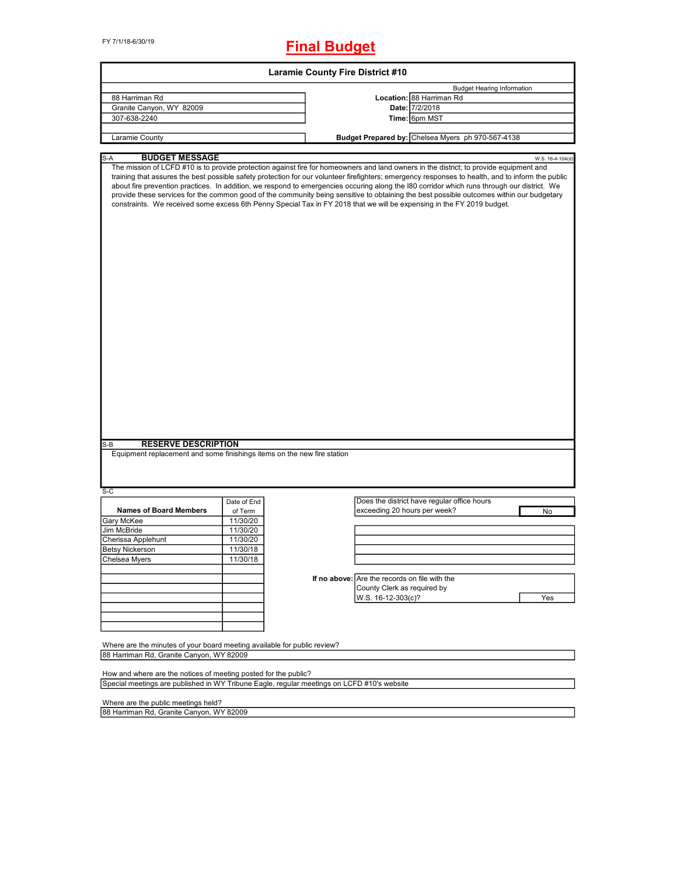FY 7/1/18-6/30/19

## **Final Budget**

|                                                                                                                      |             | <b>Laramie County Fire District #10</b>                                                                                                                                                                                                                                                                                                                                                                                                                                                                                                                                                                                                                                                                                              |  |  |  |
|----------------------------------------------------------------------------------------------------------------------|-------------|--------------------------------------------------------------------------------------------------------------------------------------------------------------------------------------------------------------------------------------------------------------------------------------------------------------------------------------------------------------------------------------------------------------------------------------------------------------------------------------------------------------------------------------------------------------------------------------------------------------------------------------------------------------------------------------------------------------------------------------|--|--|--|
|                                                                                                                      |             | <b>Budget Hearing Information</b>                                                                                                                                                                                                                                                                                                                                                                                                                                                                                                                                                                                                                                                                                                    |  |  |  |
| 88 Harriman Rd                                                                                                       |             | Location: 88 Harriman Rd                                                                                                                                                                                                                                                                                                                                                                                                                                                                                                                                                                                                                                                                                                             |  |  |  |
| Granite Canyon, WY 82009                                                                                             |             | Date: 7/2/2018                                                                                                                                                                                                                                                                                                                                                                                                                                                                                                                                                                                                                                                                                                                       |  |  |  |
| 307-638-2240                                                                                                         |             | Time: 6pm MST                                                                                                                                                                                                                                                                                                                                                                                                                                                                                                                                                                                                                                                                                                                        |  |  |  |
|                                                                                                                      |             |                                                                                                                                                                                                                                                                                                                                                                                                                                                                                                                                                                                                                                                                                                                                      |  |  |  |
| Laramie County                                                                                                       |             | Budget Prepared by: Chelsea Myers ph 970-567-4138                                                                                                                                                                                                                                                                                                                                                                                                                                                                                                                                                                                                                                                                                    |  |  |  |
|                                                                                                                      |             |                                                                                                                                                                                                                                                                                                                                                                                                                                                                                                                                                                                                                                                                                                                                      |  |  |  |
| <b>BUDGET MESSAGE</b><br>S-A<br><b>RESERVE DESCRIPTION</b><br>S-B                                                    |             | W.S. 16-4-104(d)<br>The mission of LCFD #10 is to provide protection against fire for homeowners and land owners in the district; to provide equipment and<br>training that assures the best possible safety protection for our volunteer firefighters; emergency responses to health, and to inform the public<br>about fire prevention practices. In addition, we respond to emergencies occuring along the I80 corridor which runs through our district. We<br>provide these services for the common good of the community being sensitive to obtaining the best possible outcomes within our budgetary<br>constraints. We received some excess 6th Penny Special Tax in FY 2018 that we will be expensing in the FY 2019 budget. |  |  |  |
| Equipment replacement and some finishings items on the new fire station                                              |             |                                                                                                                                                                                                                                                                                                                                                                                                                                                                                                                                                                                                                                                                                                                                      |  |  |  |
| $S-C$                                                                                                                |             |                                                                                                                                                                                                                                                                                                                                                                                                                                                                                                                                                                                                                                                                                                                                      |  |  |  |
|                                                                                                                      | Date of End | Does the district have regular office hours                                                                                                                                                                                                                                                                                                                                                                                                                                                                                                                                                                                                                                                                                          |  |  |  |
| <b>Names of Board Members</b>                                                                                        | of Term     | exceeding 20 hours per week?<br>No                                                                                                                                                                                                                                                                                                                                                                                                                                                                                                                                                                                                                                                                                                   |  |  |  |
| Gary McKee                                                                                                           | 11/30/20    |                                                                                                                                                                                                                                                                                                                                                                                                                                                                                                                                                                                                                                                                                                                                      |  |  |  |
| Jim McBride                                                                                                          | 11/30/20    |                                                                                                                                                                                                                                                                                                                                                                                                                                                                                                                                                                                                                                                                                                                                      |  |  |  |
| Cherissa Applehunt                                                                                                   | 11/30/20    |                                                                                                                                                                                                                                                                                                                                                                                                                                                                                                                                                                                                                                                                                                                                      |  |  |  |
| <b>Betsy Nickerson</b>                                                                                               | 11/30/18    |                                                                                                                                                                                                                                                                                                                                                                                                                                                                                                                                                                                                                                                                                                                                      |  |  |  |
| Chelsea Myers                                                                                                        | 11/30/18    |                                                                                                                                                                                                                                                                                                                                                                                                                                                                                                                                                                                                                                                                                                                                      |  |  |  |
|                                                                                                                      |             |                                                                                                                                                                                                                                                                                                                                                                                                                                                                                                                                                                                                                                                                                                                                      |  |  |  |
|                                                                                                                      |             | If no above: Are the records on file with the                                                                                                                                                                                                                                                                                                                                                                                                                                                                                                                                                                                                                                                                                        |  |  |  |
|                                                                                                                      |             | County Clerk as required by                                                                                                                                                                                                                                                                                                                                                                                                                                                                                                                                                                                                                                                                                                          |  |  |  |
|                                                                                                                      |             | W.S. 16-12-303(c)?<br>Yes                                                                                                                                                                                                                                                                                                                                                                                                                                                                                                                                                                                                                                                                                                            |  |  |  |
|                                                                                                                      |             |                                                                                                                                                                                                                                                                                                                                                                                                                                                                                                                                                                                                                                                                                                                                      |  |  |  |
|                                                                                                                      |             |                                                                                                                                                                                                                                                                                                                                                                                                                                                                                                                                                                                                                                                                                                                                      |  |  |  |
|                                                                                                                      |             |                                                                                                                                                                                                                                                                                                                                                                                                                                                                                                                                                                                                                                                                                                                                      |  |  |  |
| Where are the minutes of your board meeting available for public review?<br>88 Harriman Rd, Granite Canyon, WY 82009 |             |                                                                                                                                                                                                                                                                                                                                                                                                                                                                                                                                                                                                                                                                                                                                      |  |  |  |
|                                                                                                                      |             |                                                                                                                                                                                                                                                                                                                                                                                                                                                                                                                                                                                                                                                                                                                                      |  |  |  |
| How and where are the notices of meeting posted for the public?                                                      |             |                                                                                                                                                                                                                                                                                                                                                                                                                                                                                                                                                                                                                                                                                                                                      |  |  |  |
|                                                                                                                      |             | Special meetings are published in WY Tribune Eagle, regular meetings on LCFD #10's website                                                                                                                                                                                                                                                                                                                                                                                                                                                                                                                                                                                                                                           |  |  |  |
|                                                                                                                      |             |                                                                                                                                                                                                                                                                                                                                                                                                                                                                                                                                                                                                                                                                                                                                      |  |  |  |
| Where are the public meetings held?                                                                                  |             |                                                                                                                                                                                                                                                                                                                                                                                                                                                                                                                                                                                                                                                                                                                                      |  |  |  |
| 88 Harriman Rd, Granite Canyon, WY 82009                                                                             |             |                                                                                                                                                                                                                                                                                                                                                                                                                                                                                                                                                                                                                                                                                                                                      |  |  |  |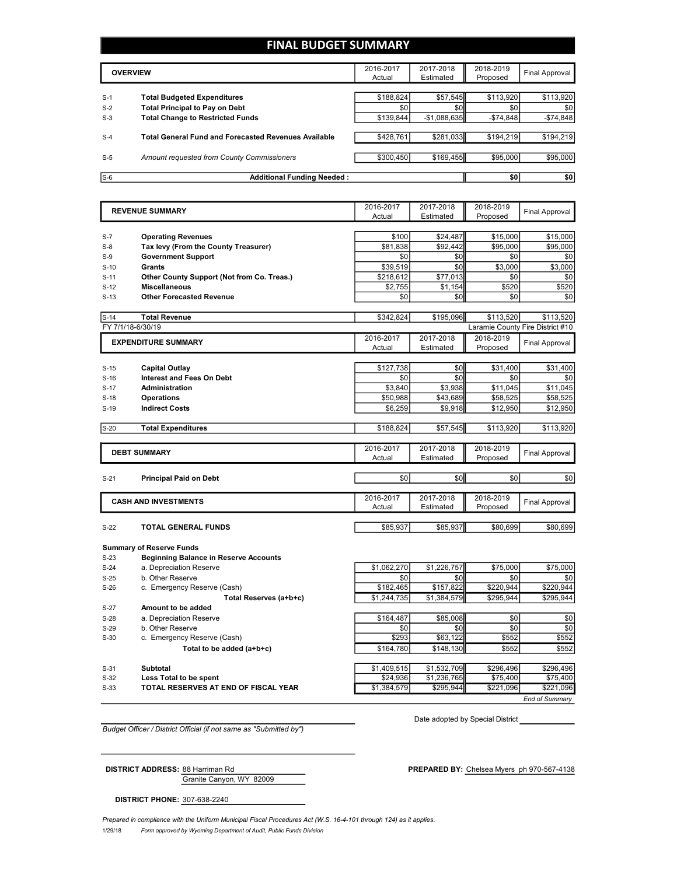## **FINAL BUDGET SUMMARY**

|       | <b>OVERVIEW</b>                                             | 2016-2017<br>Actual | 2017-2018<br>Estimated | 2018-2019<br>Proposed | Final Approval |
|-------|-------------------------------------------------------------|---------------------|------------------------|-----------------------|----------------|
|       |                                                             |                     |                        |                       |                |
| $S-1$ | <b>Total Budgeted Expenditures</b>                          | \$188,824           | \$57,545               | \$113,920             | \$113,920      |
| $S-2$ | <b>Total Principal to Pay on Debt</b>                       | \$0                 | \$0                    | \$0                   | \$0            |
| $S-3$ | <b>Total Change to Restricted Funds</b>                     | \$139.844           | $-$1,088,635$          | $-$ \$74.848          | $-$74,848$     |
|       |                                                             |                     |                        |                       |                |
| $S-4$ | <b>Total General Fund and Forecasted Revenues Available</b> | \$428.761           | \$281.033              | \$194.219             | \$194,219      |
|       |                                                             |                     |                        |                       |                |
| $S-5$ | Amount requested from County Commissioners                  | \$300,450           | \$169,455              | \$95,000              | \$95,000       |
|       |                                                             |                     |                        |                       |                |
| $S-6$ | <b>Additional Funding Needed:</b>                           |                     |                        | \$0                   | \$0            |

|        | <b>REVENUE SUMMARY</b>                       | 2016-2017<br>Actual | 2017-2018<br>Estimated | 2018-2019<br>Proposed | <b>Final Approval</b>            |
|--------|----------------------------------------------|---------------------|------------------------|-----------------------|----------------------------------|
|        |                                              |                     |                        |                       |                                  |
| $S-7$  | <b>Operating Revenues</b>                    | \$100               | \$24,487               | \$15,000              | \$15,000                         |
| $S-8$  | Tax levy (From the County Treasurer)         | \$81,838            | \$92,442               | \$95,000              | \$95,000                         |
| $S-9$  | <b>Government Support</b>                    | \$0                 | \$0                    | \$0                   | \$0                              |
| $S-10$ | <b>Grants</b>                                | \$39,519            | \$0                    | \$3,000               | \$3,000                          |
| $S-11$ | Other County Support (Not from Co. Treas.)   | \$218,612           | \$77,013               | \$0                   | \$0                              |
| $S-12$ | <b>Miscellaneous</b>                         | \$2,755             | \$1,154                | \$520                 | \$520                            |
| $S-13$ | <b>Other Forecasted Revenue</b>              | \$0                 | \$0                    | \$0                   | \$0                              |
| $S-14$ | <b>Total Revenue</b>                         | \$342.824           | \$195,096              | \$113,520             | \$113,520                        |
|        | FY 7/1/18-6/30/19                            |                     |                        |                       | Laramie County Fire District #10 |
|        | <b>EXPENDITURE SUMMARY</b>                   | 2016-2017           | 2017-2018              | 2018-2019             | <b>Final Approval</b>            |
|        |                                              | Actual              | Estimated              | Proposed              |                                  |
| $S-15$ | <b>Capital Outlay</b>                        | \$127,738           | \$0                    | \$31,400              | \$31,400                         |
| $S-16$ | <b>Interest and Fees On Debt</b>             | \$0                 | \$0                    | \$0                   | \$0                              |
| $S-17$ | <b>Administration</b>                        | \$3.840             | \$3,938                | \$11,045              | \$11,045                         |
| $S-18$ | <b>Operations</b>                            | \$50,988            | \$43,689               | \$58,525              | \$58,525                         |
| $S-19$ | <b>Indirect Costs</b>                        | \$6,259             | \$9,918                | \$12,950              | \$12,950                         |
|        |                                              |                     |                        |                       |                                  |
| $S-20$ | <b>Total Expenditures</b>                    | \$188,824           | \$57,545               | \$113,920             | \$113,920                        |
|        |                                              | 2016-2017           | 2017-2018              | 2018-2019             |                                  |
|        | <b>DEBT SUMMARY</b>                          | Actual              | Estimated              | Proposed              | <b>Final Approval</b>            |
|        |                                              |                     |                        |                       |                                  |
| $S-21$ | <b>Principal Paid on Debt</b>                | \$0                 | \$0                    | \$0                   | \$0                              |
|        | <b>CASH AND INVESTMENTS</b>                  | 2016-2017           | 2017-2018              | 2018-2019             | <b>Final Approval</b>            |
|        |                                              | Actual              | Estimated              | Proposed              |                                  |
| $S-22$ | TOTAL GENERAL FUNDS                          | \$85,937            | \$85,937               | \$80,699              | \$80,699                         |
|        |                                              |                     |                        |                       |                                  |
|        | <b>Summary of Reserve Funds</b>              |                     |                        |                       |                                  |
| $S-23$ | <b>Beginning Balance in Reserve Accounts</b> |                     |                        |                       |                                  |
| $S-24$ | a. Depreciation Reserve                      | \$1,062,270         | \$1,226,757            | \$75,000              | \$75,000                         |
| $S-25$ | b. Other Reserve                             | \$0                 | \$0                    | \$0                   | \$0                              |
| $S-26$ | c. Emergency Reserve (Cash)                  | \$182,465           | \$157,822              | \$220,944             | \$220,944                        |
|        | Total Reserves (a+b+c)                       | \$1.244.735         | \$1,384,579            | \$295.944             | \$295,944                        |
| $S-27$ | Amount to be added                           |                     |                        |                       |                                  |
| $S-28$ | a. Depreciation Reserve                      | \$164,487           | \$85,008               | \$0                   | \$0                              |
|        | $Q_1$ $\vdots$ $Q_n$                         | $\sim$              | $\sim$                 | $\sim$                | $\sim$                           |

S-29 b. Other Reserve \$0 \$0 \$0 \$0 S-30 c. Emergency Reserve (Cash) \$293 \$63,122 \$552 \$552 **Total to be added (a+b+c)** \$164,780 \$148,130 \$552 \$552 S-31 **Subtotal** \$1,409,515 \$1,532,709 \$296,496 \$296,496 S-32 **Less Total to be spent** \$24,936 \$1,236,765 \$75,400 \$75,400 S-33 **TOTAL RESERVES AT END OF FISCAL YEAR** \$1,384,579 \$295,944 \$221,096 \$221,096

*End of Summary*

*Budget Officer / District Official (if not same as "Submitted by")*

Date adopted by Special District

Granite Canyon, WY 82009

**DISTRICT ADDRESS:** 88 Harriman Rd **PREPARED BY:** Chelsea Myers ph 970-567-4138

**DISTRICT PHONE:** 307-638-2240

1/29/18 *Form approved by Wyoming Department of Audit, Public Funds Division Prepared in compliance with the Uniform Municipal Fiscal Procedures Act (W.S. 16-4-101 through 124) as it applies.*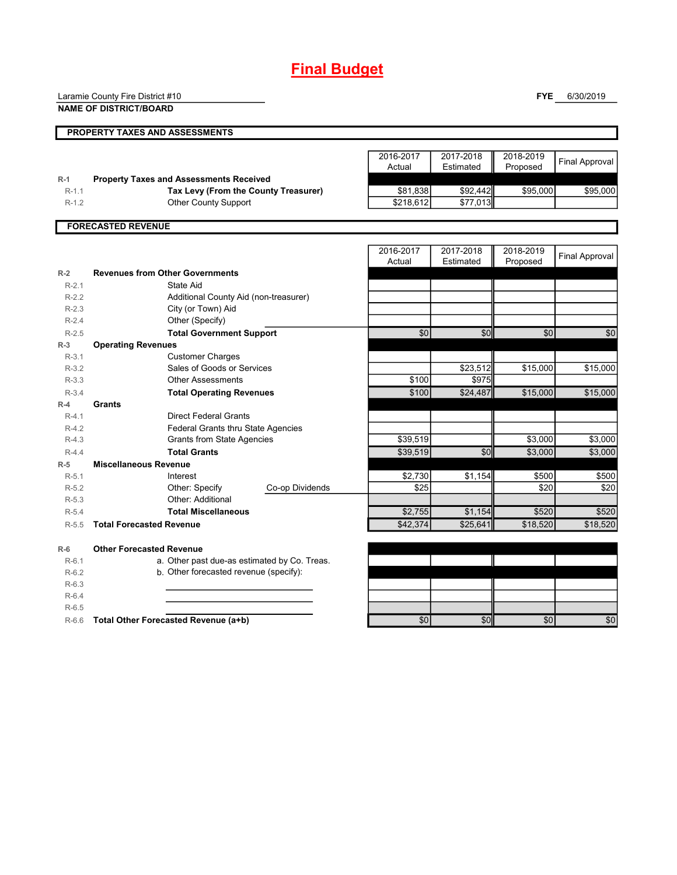## **Final Budget**

Laramie County Fire District #10

**NAME OF DISTRICT/BOARD**

**FYE** 6/30/2019

|           | PROPERTY TAXES AND ASSESSMENTS                 |                     |                        |                       |                       |
|-----------|------------------------------------------------|---------------------|------------------------|-----------------------|-----------------------|
|           |                                                | 2016-2017<br>Actual | 2017-2018<br>Estimated | 2018-2019<br>Proposed | <b>Final Approval</b> |
| $R-1$     | <b>Property Taxes and Assessments Received</b> |                     |                        |                       |                       |
| $R-1.1$   | Tax Levy (From the County Treasurer)           | \$81,838            | \$92,442               | \$95,000              | \$95,000              |
| $R-1.2$   | <b>Other County Support</b>                    | \$218,612           | \$77,013               |                       |                       |
|           | <b>FORECASTED REVENUE</b>                      |                     |                        |                       |                       |
|           |                                                | 2016-2017<br>Actual | 2017-2018<br>Estimated | 2018-2019<br>Proposed | <b>Final Approval</b> |
| $R-2$     | <b>Revenues from Other Governments</b>         |                     |                        |                       |                       |
| $R-2.1$   | State Aid                                      |                     |                        |                       |                       |
| $R-2.2$   | Additional County Aid (non-treasurer)          |                     |                        |                       |                       |
| $R-2.3$   | City (or Town) Aid                             |                     |                        |                       |                       |
| $R-2.4$   | Other (Specify)                                |                     |                        |                       |                       |
| $R-2.5$   | <b>Total Government Support</b>                | \$0                 | \$0                    | \$0                   | \$0                   |
| $R-3$     | <b>Operating Revenues</b>                      |                     |                        |                       |                       |
| $R-3.1$   | <b>Customer Charges</b>                        |                     |                        |                       |                       |
| $R-3.2$   | Sales of Goods or Services                     |                     | \$23,512               | \$15,000              | \$15,000              |
| $R - 3.3$ | <b>Other Assessments</b>                       | \$100               | \$975                  |                       |                       |
| $R-3.4$   | <b>Total Operating Revenues</b>                | \$100               | \$24,487               | \$15,000              | \$15,000              |
| $R-4$     | Grants                                         |                     |                        |                       |                       |
| $R-4.1$   | <b>Direct Federal Grants</b>                   |                     |                        |                       |                       |
| $R-4.2$   | Federal Grants thru State Agencies             |                     |                        |                       |                       |
| $R-4.3$   | <b>Grants from State Agencies</b>              | \$39,519            |                        | \$3,000               | \$3,000               |
| $R-4.4$   | <b>Total Grants</b>                            | \$39,519            | \$0                    | \$3,000               | \$3,000               |
| $R-5$     | <b>Miscellaneous Revenue</b>                   |                     |                        |                       |                       |
| $R-5.1$   | Interest                                       | \$2,730             | \$1,154                | \$500                 | $\overline{$}500$     |

R-5.1 Interest \$2,730 \$1,154 \$500 \$500 R-5.2 \$25 \$20 \$20 Co-op Dividends

R-5.4 **Total Miscellaneous 1.154 \$2,755 \$1,154 \$520 \$520 \$520** R-5.5 **Total Forecasted Revenue 18,520 \$42,374** \$25,641 \$18,520 \$18,520 \$18,520

R-6.6 **Total Other Forecasted Revenue (a+b)** \$0 \$0 \$0 \$0

R-6.1 a. Other past due-as estimated by Co. Treas. R-6.2 b. Other forecasted revenue (specify):

Other: Additional

Other: Specify

**R-6 Other Forecasted Revenue**

R-5.3

R-6.3 R-6.4 R-6.5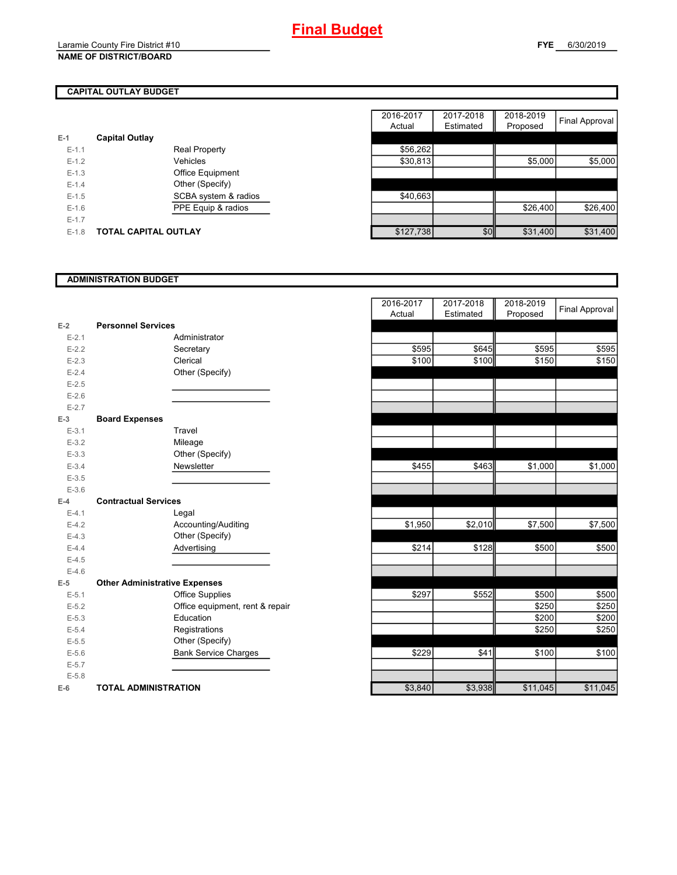## **CAPITAL OUTLAY BUDGET**

| $E-1$     | <b>Capital Outlay</b>       |                         |           |  |
|-----------|-----------------------------|-------------------------|-----------|--|
| $E - 1.1$ |                             | <b>Real Property</b>    | \$56,262  |  |
| $E - 1.2$ |                             | Vehicles                | \$30,813  |  |
| $E-1.3$   |                             | <b>Office Equipment</b> |           |  |
| $E - 1.4$ |                             | Other (Specify)         |           |  |
| $E-1.5$   |                             | SCBA system & radios    | \$40.663  |  |
| $E - 1.6$ |                             | PPE Equip & radios      |           |  |
| $E - 1.7$ |                             |                         |           |  |
| $E-1.8$   | <b>TOTAL CAPITAL OUTLAY</b> |                         | \$127.738 |  |

|         |                             |                      | 2016-2017 | 2017-2018 | 2018-2019 |                |
|---------|-----------------------------|----------------------|-----------|-----------|-----------|----------------|
|         |                             |                      | Actual    | Estimated | Proposed  | Final Approval |
|         | <b>Capital Outlay</b>       |                      |           |           |           |                |
| $E-1.1$ |                             | <b>Real Property</b> | \$56,262  |           |           |                |
| $E-1.2$ |                             | Vehicles             | \$30,813  |           | \$5,000   | \$5,000        |
| $E-1.3$ |                             | Office Equipment     |           |           |           |                |
| $E-1.4$ |                             | Other (Specify)      |           |           |           |                |
| $E-1.5$ |                             | SCBA system & radios | \$40,663  |           |           |                |
| $E-1.6$ |                             | PPE Equip & radios   |           |           | \$26,400  | \$26,400       |
| $E-1.7$ |                             |                      |           |           |           |                |
| $E-1.8$ | <b>TOTAL CAPITAL OUTLAY</b> |                      | \$127,738 | \$0       | \$31,400  | \$31,400       |

#### **ADMINISTRATION BUDGET**

| $E-2$     | <b>Personnel Services</b>            |                              |
|-----------|--------------------------------------|------------------------------|
| $E - 2.1$ |                                      | Administrator                |
| $E - 2.2$ |                                      | Secretary                    |
| $E - 2.3$ |                                      | Clerical                     |
| $E-2.4$   |                                      | Other (Specify)              |
| $E - 2.5$ |                                      |                              |
| $E - 2.6$ |                                      |                              |
| $E - 2.7$ |                                      |                              |
| $E-3$     | <b>Board Expenses</b>                |                              |
| $E-3.1$   |                                      | Travel                       |
| $E - 3.2$ |                                      | Mileage                      |
| $E - 3.3$ |                                      | Other (Specify)              |
| $E - 3.4$ |                                      | Newsletter                   |
| $E - 3.5$ |                                      |                              |
| $E - 3.6$ |                                      |                              |
| $E - 4$   | <b>Contractual Services</b>          |                              |
| $E - 4.1$ |                                      | Legal                        |
| $E-4.2$   |                                      | Accounting/Auditing          |
| $E - 4.3$ |                                      | Other (Specify)              |
| $E-4.4$   |                                      | Advertising                  |
| $E-4.5$   |                                      |                              |
| $E-4.6$   |                                      |                              |
| $E-5$     | <b>Other Administrative Expenses</b> |                              |
| $E - 5.1$ |                                      | <b>Office Supplies</b>       |
| $E - 5.2$ |                                      | Office equipment, rent & rep |
| $E - 5.3$ |                                      | Education                    |
| $E - 5.4$ |                                      | Registrations                |
| $E - 5.5$ |                                      | Other (Specify)              |
| $E - 5.6$ |                                      | <b>Bank Service Charges</b>  |
| $E - 5.7$ |                                      |                              |
| $E - 5.8$ |                                      |                              |
| $E-6$     | <b>TOTAL ADMINISTRATION</b>          |                              |

|           |                                      | 2016-2017<br>Actual | 2017-2018<br>Estimated | 2018-2019<br>Proposed | Final Approval |
|-----------|--------------------------------------|---------------------|------------------------|-----------------------|----------------|
| Ż         | <b>Personnel Services</b>            |                     |                        |                       |                |
| $E - 2.1$ | Administrator                        |                     |                        |                       |                |
| $E - 2.2$ | Secretary                            | \$595               | \$645                  | \$595                 | \$595          |
| $E - 2.3$ | Clerical                             | \$100               | \$100                  | \$150                 | \$150          |
| $E - 2.4$ | Other (Specify)                      |                     |                        |                       |                |
| $E - 2.5$ |                                      |                     |                        |                       |                |
| $E - 2.6$ |                                      |                     |                        |                       |                |
| $E - 2.7$ |                                      |                     |                        |                       |                |
| 3         | <b>Board Expenses</b>                |                     |                        |                       |                |
| $E - 3.1$ | Travel                               |                     |                        |                       |                |
| $E - 3.2$ | Mileage                              |                     |                        |                       |                |
| $E - 3.3$ | Other (Specify)                      |                     |                        |                       |                |
| $E - 3.4$ | Newsletter                           | \$455               | \$463                  | \$1,000               | \$1,000        |
| $E - 3.5$ |                                      |                     |                        |                       |                |
| $E - 3.6$ |                                      |                     |                        |                       |                |
| Ļ.        | <b>Contractual Services</b>          |                     |                        |                       |                |
| $E - 4.1$ | Legal                                |                     |                        |                       |                |
| $E - 4.2$ | Accounting/Auditing                  | \$1,950             | \$2,010                | \$7,500               | \$7,500        |
| $E-4.3$   | Other (Specify)                      |                     |                        |                       |                |
| $E - 4.4$ | Advertising                          | \$214               | \$128                  | \$500                 | \$500          |
| $E-4.5$   |                                      |                     |                        |                       |                |
| $E - 4.6$ |                                      |                     |                        |                       |                |
| 5         | <b>Other Administrative Expenses</b> |                     |                        |                       |                |
| $E - 5.1$ | <b>Office Supplies</b>               | \$297               | \$552                  | \$500                 | \$500          |
| $E - 5.2$ | Office equipment, rent & repair      |                     |                        | \$250                 | \$250          |
| $E - 5.3$ | Education                            |                     |                        | \$200                 | \$200          |
| $E - 5.4$ | Registrations                        |                     |                        | \$250                 | \$250          |
| $E - 5.5$ | Other (Specify)                      |                     |                        |                       |                |
| $E - 5.6$ | <b>Bank Service Charges</b>          | \$229               | \$41                   | \$100                 | \$100          |
| $E - 5.7$ |                                      |                     |                        |                       |                |
| $E - 5.8$ |                                      |                     |                        |                       |                |
| î         | <b>TOTAL ADMINISTRATION</b>          | \$3,840             | \$3,938                | \$11,045              | \$11,045       |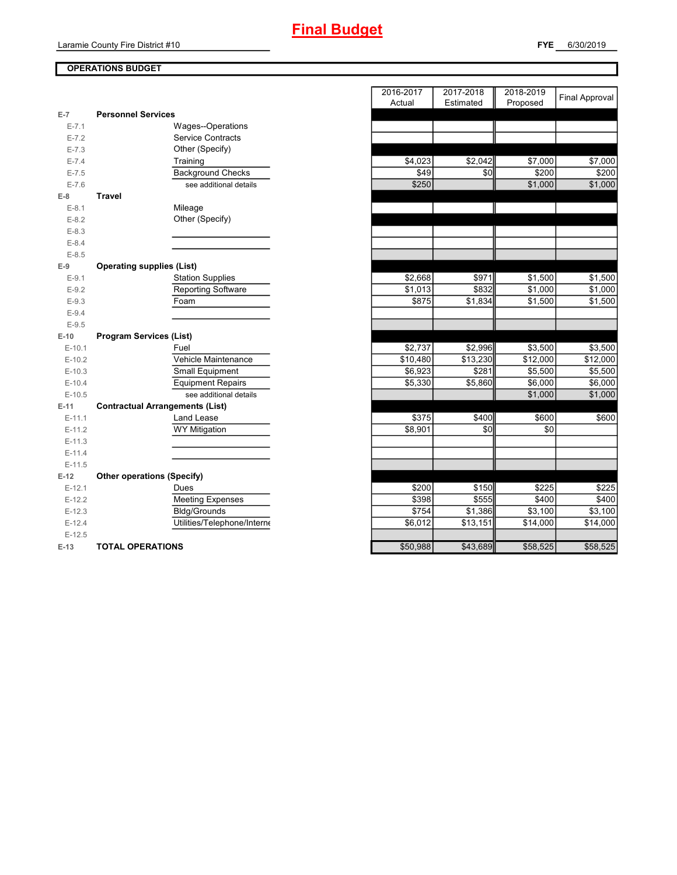# **Final Budget**

#### **FYE** 6/30/2019

## **OPERATIONS BUDGET**

| $E-7$     | <b>Personnel Services</b>              |                   |          |          |          |
|-----------|----------------------------------------|-------------------|----------|----------|----------|
| $E - 7.1$ | Wages--Operations                      |                   |          |          |          |
| $E - 7.2$ | <b>Service Contracts</b>               |                   |          |          |          |
| $E - 7.3$ | Other (Specify)                        |                   |          |          |          |
| $E - 7.4$ | Training                               | \$4,023           | \$2,042  | \$7,000  | \$7,000  |
| $E - 7.5$ | <b>Background Checks</b>               | \$49              | \$0      | \$200    | \$200    |
| $E - 7.6$ | see additional details                 | \$250             |          | \$1,000  | \$1,000  |
| $E-8$     | <b>Travel</b>                          |                   |          |          |          |
| $E-8.1$   | Mileage                                |                   |          |          |          |
| $E - 8.2$ | Other (Specify)                        |                   |          |          |          |
| $E - 8.3$ |                                        |                   |          |          |          |
| $E - 8.4$ |                                        |                   |          |          |          |
| $E - 8.5$ |                                        |                   |          |          |          |
| $E-9$     | <b>Operating supplies (List)</b>       |                   |          |          |          |
| $E-9.1$   | <b>Station Supplies</b>                | \$2,668           | \$971    | \$1,500  | \$1,500  |
| $E-9.2$   | <b>Reporting Software</b>              | \$1,013           | \$832    | \$1,000  | \$1,000  |
| $E-9.3$   | Foam                                   | \$875             | \$1,834  | \$1,500  | \$1,500  |
| $E-9.4$   |                                        |                   |          |          |          |
| $E-9.5$   |                                        |                   |          |          |          |
| $E-10$    | <b>Program Services (List)</b>         |                   |          |          |          |
| $E-10.1$  | Fuel                                   | \$2,737           | \$2,996  | \$3,500  | \$3,500  |
| $E-10.2$  | Vehicle Maintenance                    | \$10,480          | \$13,230 | \$12,000 | \$12,000 |
| $E-10.3$  | Small Equipment                        | \$6,923           | \$281    | \$5,500  | \$5,500  |
| $E-10.4$  | <b>Equipment Repairs</b>               | \$5,330           | \$5,860  | \$6,000  | \$6,000  |
| $E-10.5$  | see additional details                 |                   |          | \$1,000  | \$1,000  |
| $E-11$    | <b>Contractual Arrangements (List)</b> |                   |          |          |          |
| $E-11.1$  | Land Lease                             | \$375             | \$400    | \$600    | \$600    |
| $E-11.2$  | <b>WY Mitigation</b>                   | \$8,901           | \$0      | \$0      |          |
| $E-11.3$  |                                        |                   |          |          |          |
| $E-11.4$  |                                        |                   |          |          |          |
| $E-11.5$  |                                        |                   |          |          |          |
| $E-12$    | <b>Other operations (Specify)</b>      |                   |          |          |          |
| $E-12.1$  | Dues                                   | \$200             | \$150    | \$225    | \$225    |
| $E-12.2$  | <b>Meeting Expenses</b>                | \$398             | \$555    | \$400    | \$400    |
| $E-12.3$  | <b>Bldg/Grounds</b>                    | $\overline{$}754$ | \$1,386  | \$3,100  | \$3,100  |
| $E-12.4$  | Utilities/Telephone/Interne            | \$6,012           | \$13,151 | \$14,000 | \$14,000 |
| $E-12.5$  |                                        |                   |          |          |          |
| $E-13$    | <b>TOTAL OPERATIONS</b>                | \$50,988          | \$43,689 | \$58,525 | \$58,525 |

|                |                                        | 2016-2017 | 2017-2018 | 2018-2019 | <b>Final Approval</b> |
|----------------|----------------------------------------|-----------|-----------|-----------|-----------------------|
|                |                                        | Actual    | Estimated | Proposed  |                       |
| $\overline{7}$ | <b>Personnel Services</b>              |           |           |           |                       |
| $E - 7.1$      | Wages--Operations                      |           |           |           |                       |
| $E - 7.2$      | <b>Service Contracts</b>               |           |           |           |                       |
| $E - 7.3$      | Other (Specify)                        |           |           |           |                       |
| $E - 7.4$      | Training                               | \$4,023   | \$2,042   | \$7,000   | \$7,000               |
| $E - 7.5$      | <b>Background Checks</b>               | \$49      | \$0       | \$200     | \$200                 |
| $E - 7.6$      | see additional details                 | \$250     |           | \$1,000   | \$1,000               |
| 8              | <b>Travel</b>                          |           |           |           |                       |
| $E-8.1$        | Mileage                                |           |           |           |                       |
| $E-8.2$        | Other (Specify)                        |           |           |           |                       |
| $E-8.3$        |                                        |           |           |           |                       |
| $E - 8.4$      |                                        |           |           |           |                       |
| $E-8.5$        |                                        |           |           |           |                       |
| 9              | <b>Operating supplies (List)</b>       |           |           |           |                       |
| $E-9.1$        | <b>Station Supplies</b>                | \$2,668   | \$971     | \$1,500   | \$1,500               |
| $E-9.2$        | <b>Reporting Software</b>              | \$1,013   | \$832     | \$1,000   | \$1,000               |
| $E-9.3$        | Foam                                   | \$875     | \$1,834   | \$1,500   | \$1,500               |
| $E-9.4$        |                                        |           |           |           |                       |
| $E - 9.5$      |                                        |           |           |           |                       |
| $-10$          | <b>Program Services (List)</b>         |           |           |           |                       |
| $E-10.1$       | Fuel                                   | \$2,737   | \$2,996   | \$3,500   | \$3,500               |
| $E-10.2$       | Vehicle Maintenance                    | \$10,480  | \$13,230  | \$12,000  | \$12,000              |
| $E-10.3$       | Small Equipment                        | \$6,923   | \$281     | \$5,500   | \$5,500               |
| $E-10.4$       | <b>Equipment Repairs</b>               | \$5,330   | \$5,860   | \$6,000   | \$6,000               |
| $E-10.5$       | see additional details                 |           |           | \$1,000   | \$1,000               |
| 41.            | <b>Contractual Arrangements (List)</b> |           |           |           |                       |
| $E-11.1$       | Land Lease                             | \$375     | \$400     | \$600     | \$600                 |
| $E-11.2$       | <b>WY Mitigation</b>                   | \$8,901   | \$0       | \$0       |                       |
| $E-11.3$       |                                        |           |           |           |                       |
| E-11.4         |                                        |           |           |           |                       |
| $E-11.5$       |                                        |           |           |           |                       |
| 12             | <b>Other operations (Specify)</b>      |           |           |           |                       |
| $E-12.1$       | Dues                                   | \$200     | \$150     | \$225     | \$225                 |
| $E-12.2$       | <b>Meeting Expenses</b>                | \$398     | \$555     | \$400     | \$400                 |
| $E-12.3$       | <b>Bldg/Grounds</b>                    | \$754     | \$1,386   | \$3,100   | \$3,100               |
| $E-12.4$       | Utilities/Telephone/Interne            | \$6,012   | \$13,151  | \$14,000  | \$14,000              |
| $E-12.5$       |                                        |           |           |           |                       |
| 13             | <b>TOTAL OPERATIONS</b>                | \$50.988  | \$43.689  | \$58.525  | \$58.525              |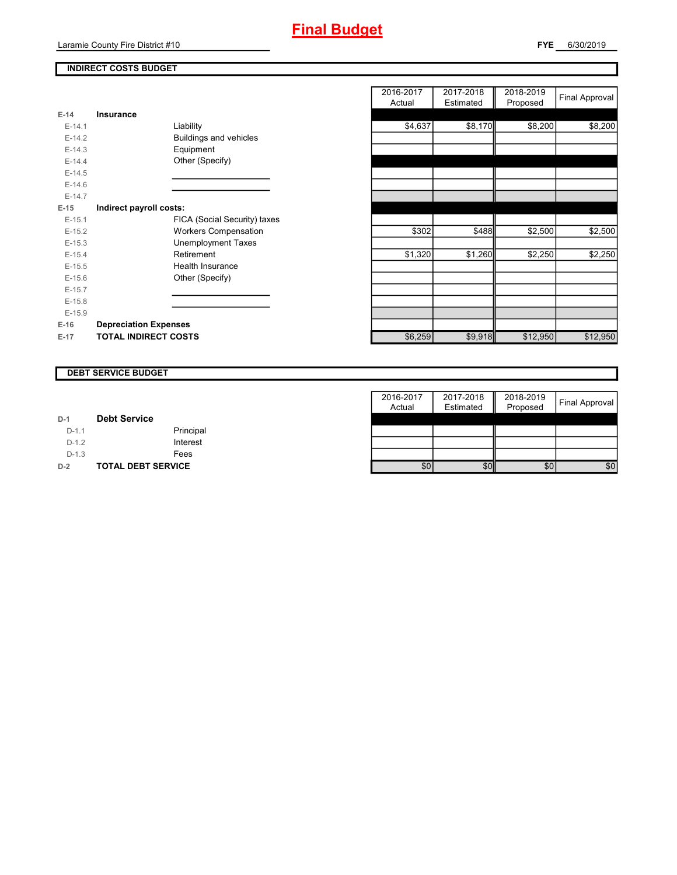## **INDIRECT COSTS BUDGET**

| $E-14$   | Insurance                    |
|----------|------------------------------|
| $E-14.1$ | Liability                    |
| $F-142$  | Buildings and vehicles       |
| $F-14.3$ | Equipment                    |
| $F-144$  | Other (Specify)              |
| $E-14.5$ |                              |
| $F-146$  |                              |
| $F-147$  |                              |
| $E-15$   | Indirect payroll costs:      |
| $F-151$  | FICA (Social Security) taxes |
| $E-15.2$ | <b>Workers Compensation</b>  |
| $E-15.3$ | <b>Unemployment Taxes</b>    |
| $E-15.4$ | Retirement                   |
| $E-15.5$ | Health Insurance             |
| $E-15.6$ | Other (Specify)              |
| $F-157$  |                              |
| $E-15.8$ |                              |
| $E-15.9$ |                              |
| $E-16$   | <b>Depreciation Expenses</b> |
| $E-17$   | <b>TOTAL INDIRECT COSTS</b>  |

|          |                              | 2016-2017<br>Actual | 2017-2018<br>Estimated | 2018-2019<br>Proposed | <b>Final Approval</b> |
|----------|------------------------------|---------------------|------------------------|-----------------------|-----------------------|
| $E-14$   | Insurance                    |                     |                        |                       |                       |
| $E-14.1$ | Liability                    | \$4,637             | \$8,170                | \$8,200               | \$8,200               |
| $E-14.2$ | Buildings and vehicles       |                     |                        |                       |                       |
| $E-14.3$ | Equipment                    |                     |                        |                       |                       |
| $E-14.4$ | Other (Specify)              |                     |                        |                       |                       |
| $E-14.5$ |                              |                     |                        |                       |                       |
| $E-14.6$ |                              |                     |                        |                       |                       |
| $E-14.7$ |                              |                     |                        |                       |                       |
| $E-15$   | Indirect payroll costs:      |                     |                        |                       |                       |
| $E-15.1$ | FICA (Social Security) taxes |                     |                        |                       |                       |
| $E-15.2$ | <b>Workers Compensation</b>  | \$302               | \$488                  | \$2,500               | \$2,500               |
| $E-15.3$ | <b>Unemployment Taxes</b>    |                     |                        |                       |                       |
| $E-15.4$ | Retirement                   | \$1,320             | \$1,260                | \$2,250               | \$2,250               |
| $E-15.5$ | Health Insurance             |                     |                        |                       |                       |
| $E-15.6$ | Other (Specify)              |                     |                        |                       |                       |
| $E-15.7$ |                              |                     |                        |                       |                       |
| $E-15.8$ |                              |                     |                        |                       |                       |
| $E-15.9$ |                              |                     |                        |                       |                       |
| E-16     | <b>Depreciation Expenses</b> |                     |                        |                       |                       |
| $E-17$   | <b>TOTAL INDIRECT COSTS</b>  | \$6,259             | \$9,918                | \$12,950              | \$12,950              |

#### **DEBT SERVICE BUDGET**

|         |                           | 2016-2017 | 2017-2018 | 2018-2019 |                |
|---------|---------------------------|-----------|-----------|-----------|----------------|
|         |                           | Actual    | Estimated | Proposed  | Final Approval |
| $D-1$   | <b>Debt Service</b>       |           |           |           |                |
| $D-1.1$ | Principal                 |           |           |           |                |
| $D-1.2$ | Interest                  |           |           |           |                |
| $D-1.3$ | Fees                      |           |           |           |                |
| $D-2$   | <b>TOTAL DEBT SERVICE</b> | \$0       | \$0       | \$0       | \$0            |